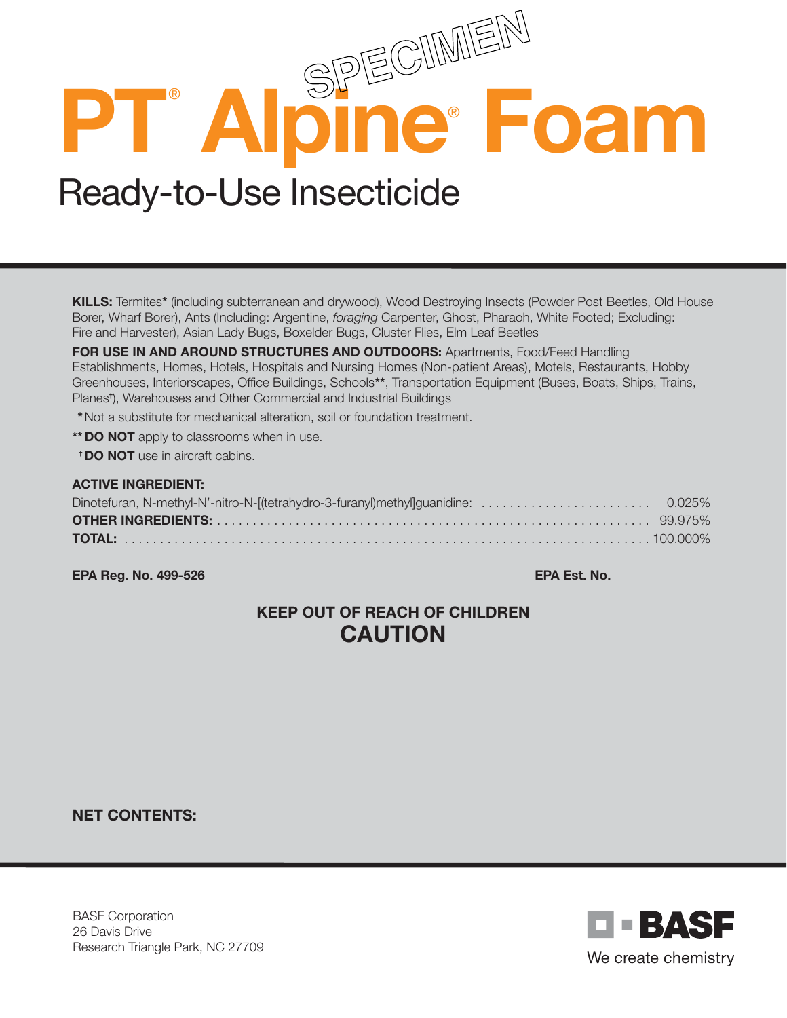# **PT**®  **Alpine**®  **Foam** Ready-to-Use Insecticide

KILLS: Termites\* (including subterranean and drywood), Wood Destroying Insects (Powder Post Beetles, Old House Borer, Wharf Borer), Ants (Including: Argentine, *foraging* Carpenter, Ghost, Pharaoh, White Footed; Excluding: Fire and Harvester), Asian Lady Bugs, Boxelder Bugs, Cluster Flies, Elm Leaf Beetles

FOR USE IN AND AROUND STRUCTURES AND OUTDOORS: Apartments, Food/Feed Handling Establishments, Homes, Hotels, Hospitals and Nursing Homes (Non-patient Areas), Motels, Restaurants, Hobby Greenhouses, Interiorscapes, Office Buildings, Schools\*\*, Transportation Equipment (Buses, Boats, Ships, Trains, Planes† ), Warehouses and Other Commercial and Industrial Buildings

\*Not a substitute for mechanical alteration, soil or foundation treatment.

\*\* DO NOT apply to classrooms when in use.

† DO NOT use in aircraft cabins.

#### ACTIVE INGREDIENT:

EPA Reg. No. 499-526 EPA Est. No.

# KEEP OUT OF REACH OF CHILDREN **CAUTION**

NET CONTENTS:

BASF Corporation 26 Davis Drive Research Triangle Park, NC 27709

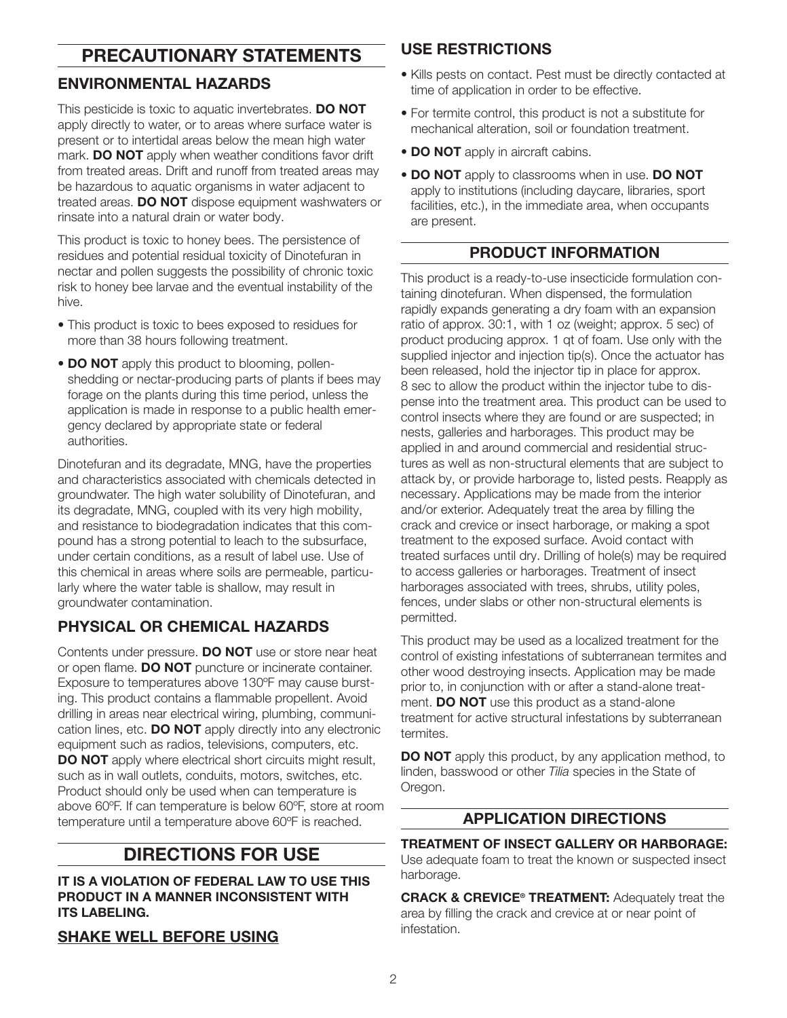# PRECAUTIONARY STATEMENTS

## ENVIRONMENTAL HAZARDS

This pesticide is toxic to aquatic invertebrates. DO NOT apply directly to water, or to areas where surface water is present or to intertidal areas below the mean high water mark. DO NOT apply when weather conditions favor drift from treated areas. Drift and runoff from treated areas may be hazardous to aquatic organisms in water adjacent to treated areas. DO NOT dispose equipment washwaters or rinsate into a natural drain or water body.

This product is toxic to honey bees. The persistence of residues and potential residual toxicity of Dinotefuran in nectar and pollen suggests the possibility of chronic toxic risk to honey bee larvae and the eventual instability of the hive.

- This product is toxic to bees exposed to residues for more than 38 hours following treatment.
- DO NOT apply this product to blooming, pollenshedding or nectar-producing parts of plants if bees may forage on the plants during this time period, unless the application is made in response to a public health emergency declared by appropriate state or federal authorities.

Dinotefuran and its degradate, MNG, have the properties and characteristics associated with chemicals detected in groundwater. The high water solubility of Dinotefuran, and its degradate, MNG, coupled with its very high mobility, and resistance to biodegradation indicates that this compound has a strong potential to leach to the subsurface, under certain conditions, as a result of label use. Use of this chemical in areas where soils are permeable, particularly where the water table is shallow, may result in groundwater contamination.

## PHYSICAL OR CHEMICAL HAZARDS

Contents under pressure. **DO NOT** use or store near heat or open flame. DO NOT puncture or incinerate container. Exposure to temperatures above 130ºF may cause bursting. This product contains a flammable propellent. Avoid drilling in areas near electrical wiring, plumbing, communication lines, etc. **DO NOT** apply directly into any electronic equipment such as radios, televisions, computers, etc. DO NOT apply where electrical short circuits might result, such as in wall outlets, conduits, motors, switches, etc. Product should only be used when can temperature is above 60ºF. If can temperature is below 60ºF, store at room temperature until a temperature above 60ºF is reached.

# DIRECTIONS FOR USE

IT IS A VIOLATION OF FEDERAL LAW TO USE THIS PRODUCT IN A MANNER INCONSISTENT WITH **ITS LABELING.** 

#### SHAKE WELL BEFORE USING

#### USE RESTRICTIONS

- Kills pests on contact. Pest must be directly contacted at time of application in order to be effective.
- For termite control, this product is not a substitute for mechanical alteration, soil or foundation treatment.
- DO NOT apply in aircraft cabins.
- DO NOT apply to classrooms when in use. DO NOT apply to institutions (including daycare, libraries, sport facilities, etc.), in the immediate area, when occupants are present.

#### PRODUCT INFORMATION

This product is a ready-to-use insecticide formulation containing dinotefuran. When dispensed, the formulation rapidly expands generating a dry foam with an expansion ratio of approx. 30:1, with 1 oz (weight; approx. 5 sec) of product producing approx. 1 qt of foam. Use only with the supplied injector and injection tip(s). Once the actuator has been released, hold the injector tip in place for approx. 8 sec to allow the product within the injector tube to dispense into the treatment area. This product can be used to control insects where they are found or are suspected; in nests, galleries and harborages. This product may be applied in and around commercial and residential structures as well as non-structural elements that are subject to attack by, or provide harborage to, listed pests. Reapply as necessary. Applications may be made from the interior and/or exterior. Adequately treat the area by filling the crack and crevice or insect harborage, or making a spot treatment to the exposed surface. Avoid contact with treated surfaces until dry. Drilling of hole(s) may be required to access galleries or harborages. Treatment of insect harborages associated with trees, shrubs, utility poles, fences, under slabs or other non-structural elements is permitted.

This product may be used as a localized treatment for the control of existing infestations of subterranean termites and other wood destroying insects. Application may be made prior to, in conjunction with or after a stand-alone treatment. **DO NOT** use this product as a stand-alone treatment for active structural infestations by subterranean termites.

DO NOT apply this product, by any application method, to linden, basswood or other *Tilia* species in the State of Oregon.

## APPLICATION DIRECTIONS

TREATMENT OF INSECT GALLERY OR HARBORAGE: Use adequate foam to treat the known or suspected insect harborage.

**CRACK & CREVICE<sup>®</sup> TREATMENT:** Adequately treat the area by filling the crack and crevice at or near point of infestation.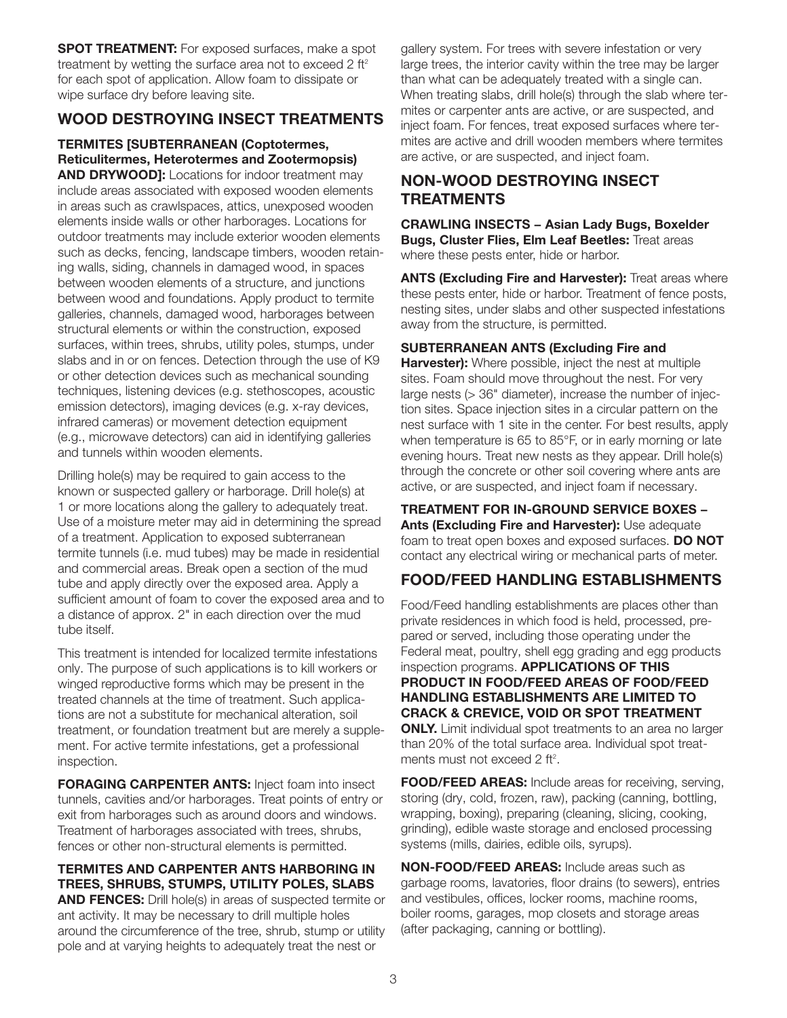**SPOT TREATMENT:** For exposed surfaces, make a spot treatment by wetting the surface area not to exceed 2 ft<sup>2</sup> for each spot of application. Allow foam to dissipate or wipe surface dry before leaving site.

## WOOD DESTROYING INSECT TREATMENTS

TERMITES [SUBTERRANEAN (Coptotermes, Reticulitermes, Heterotermes and Zootermopsis)

**AND DRYWOOD]:** Locations for indoor treatment may include areas associated with exposed wooden elements in areas such as crawlspaces, attics, unexposed wooden elements inside walls or other harborages. Locations for outdoor treatments may include exterior wooden elements such as decks, fencing, landscape timbers, wooden retaining walls, siding, channels in damaged wood, in spaces between wooden elements of a structure, and junctions between wood and foundations. Apply product to termite galleries, channels, damaged wood, harborages between structural elements or within the construction, exposed surfaces, within trees, shrubs, utility poles, stumps, under slabs and in or on fences. Detection through the use of K9 or other detection devices such as mechanical sounding techniques, listening devices (e.g. stethoscopes, acoustic emission detectors), imaging devices (e.g. x-ray devices, infrared cameras) or movement detection equipment (e.g., microwave detectors) can aid in identifying galleries and tunnels within wooden elements.

Drilling hole(s) may be required to gain access to the known or suspected gallery or harborage. Drill hole(s) at 1 or more locations along the gallery to adequately treat. Use of a moisture meter may aid in determining the spread of a treatment. Application to exposed subterranean termite tunnels (i.e. mud tubes) may be made in residential and commercial areas. Break open a section of the mud tube and apply directly over the exposed area. Apply a sufficient amount of foam to cover the exposed area and to a distance of approx. 2" in each direction over the mud tube itself.

This treatment is intended for localized termite infestations only. The purpose of such applications is to kill workers or winged reproductive forms which may be present in the treated channels at the time of treatment. Such applications are not a substitute for mechanical alteration, soil treatment, or foundation treatment but are merely a supplement. For active termite infestations, get a professional inspection.

**FORAGING CARPENTER ANTS: Inject foam into insect** tunnels, cavities and/or harborages. Treat points of entry or exit from harborages such as around doors and windows. Treatment of harborages associated with trees, shrubs, fences or other non-structural elements is permitted.

#### TERMITES AND CARPENTER ANTS HARBORING IN TREES, SHRUBS, STUMPS, UTILITY POLES, SLABS

AND FENCES: Drill hole(s) in areas of suspected termite or ant activity. It may be necessary to drill multiple holes around the circumference of the tree, shrub, stump or utility pole and at varying heights to adequately treat the nest or

gallery system. For trees with severe infestation or very large trees, the interior cavity within the tree may be larger than what can be adequately treated with a single can. When treating slabs, drill hole(s) through the slab where termites or carpenter ants are active, or are suspected, and inject foam. For fences, treat exposed surfaces where termites are active and drill wooden members where termites are active, or are suspected, and inject foam.

#### NON-WOOD DESTROYING INSECT **TREATMENTS**

CRAWLING INSECTS − Asian Lady Bugs, Boxelder **Bugs, Cluster Flies, Elm Leaf Beetles: Treat areas** where these pests enter, hide or harbor.

**ANTS (Excluding Fire and Harvester):** Treat areas where these pests enter, hide or harbor. Treatment of fence posts, nesting sites, under slabs and other suspected infestations away from the structure, is permitted.

#### SUBTERRANEAN ANTS (Excluding Fire and

**Harvester):** Where possible, inject the nest at multiple sites. Foam should move throughout the nest. For very large nests (> 36" diameter), increase the number of injection sites. Space injection sites in a circular pattern on the nest surface with 1 site in the center. For best results, apply when temperature is 65 to 85°F, or in early morning or late evening hours. Treat new nests as they appear. Drill hole(s) through the concrete or other soil covering where ants are active, or are suspected, and inject foam if necessary.

TREATMENT FOR IN-GROUND SERVICE BOXES -Ants (Excluding Fire and Harvester): Use adequate foam to treat open boxes and exposed surfaces. DO NOT contact any electrical wiring or mechanical parts of meter.

#### FOOD/FEED HANDLING ESTABLISHMENTS

Food/Feed handling establishments are places other than private residences in which food is held, processed, prepared or served, including those operating under the Federal meat, poultry, shell egg grading and egg products inspection programs. APPLICATIONS OF THIS PRODUCT IN FOOD/FEED AREAS OF FOOD/FEED HANDLING ESTABLISHMENTS ARE LIMITED TO CRACK & CREVICE, VOID OR SPOT TREATMENT **ONLY.** Limit individual spot treatments to an area no larger than 20% of the total surface area. Individual spot treatments must not exceed 2 ft<sup>2</sup>.

FOOD/FEED AREAS: Include areas for receiving, serving, storing (dry, cold, frozen, raw), packing (canning, bottling, wrapping, boxing), preparing (cleaning, slicing, cooking, grinding), edible waste storage and enclosed processing systems (mills, dairies, edible oils, syrups).

NON-FOOD/FEED AREAS: Include areas such as garbage rooms, lavatories, floor drains (to sewers), entries and vestibules, offices, locker rooms, machine rooms, boiler rooms, garages, mop closets and storage areas (after packaging, canning or bottling).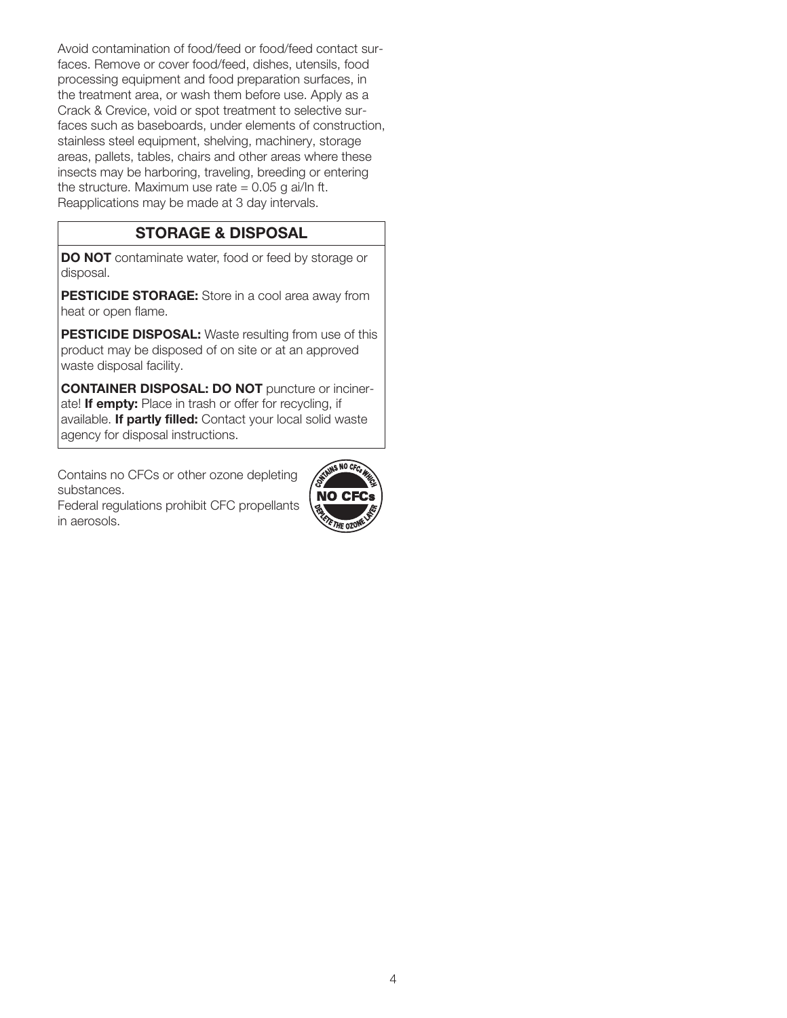Avoid contamination of food/feed or food/feed contact surfaces. Remove or cover food/feed, dishes, utensils, food processing equipment and food preparation surfaces, in the treatment area, or wash them before use. Apply as a Crack & Crevice, void or spot treatment to selective surfaces such as baseboards, under elements of construction, stainless steel equipment, shelving, machinery, storage areas, pallets, tables, chairs and other areas where these insects may be harboring, traveling, breeding or entering the structure. Maximum use rate  $= 0.05$  g ai/ln ft. Reapplications may be made at 3 day intervals.

## STORAGE & DISPOSAL

DO NOT contaminate water, food or feed by storage or disposal.

PESTICIDE STORAGE: Store in a cool area away from heat or open flame.

PESTICIDE DISPOSAL: Waste resulting from use of this product may be disposed of on site or at an approved waste disposal facility.

CONTAINER DISPOSAL: DO NOT puncture or incinerate! If empty: Place in trash or offer for recycling, if available. If partly filled: Contact your local solid waste agency for disposal instructions.

Contains no CFCs or other ozone depleting substances.

Federal regulations prohibit CFC propellants in aerosols.